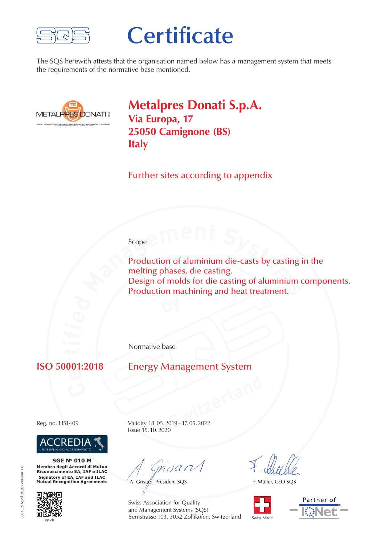

# **Certificate**

The SQS herewith attests that the organisation named below has a management system that meets the requirements of the normative base mentioned.



**Metalpres Donati S.p.A. Via Europa, 17 25050 Camignone (BS) Italy**

Further sites according to appendix

#### Scope<sup>5</sup>

**Production of aluminium die-casts by casting<br>
<b>M**elting phases, die casting.<br>
Design of molds for die casting of aluminium of<br>
Production machining and heat treatment. Production of aluminium die-casts by casting in the melting phases, die casting. Design of molds for die casting of aluminium components. Production machining and heat treatment.

Normative base

### **e r**

#### **Energy Management System**



**SGE No 010 M Membro degli Accordi di Mutuo Riconoscimento EA, IAF e ILAC Signatory of EA, IAF and ILAC Mutual Recognition Agreements**



**Switzerland** Reg. no. H51409 Validity 18.05.2019–17.05.2022 Issue 15.10.2020

mdan

A. Grisard, President SQS

F. Müller, CEO SQS





691 2/April 2020/Version 1.0 6691\_2/April 2020/Version 1.0

Swiss Association for Quality and Management Systems (SQS) Bernstrasse 103, 3052 Zollikofen, Switzerland